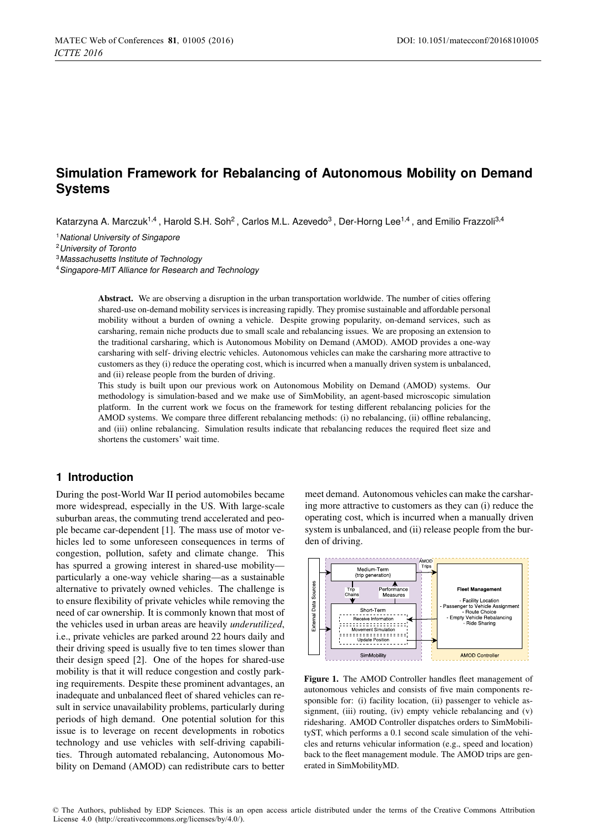# **Simulation Framework for Rebalancing of Autonomous Mobility on Demand Systems**

Katarzyna A. Marczuk<sup>1,4</sup>, Harold S.H. Soh<sup>2</sup>, Carlos M.L. Azevedo<sup>3</sup>, Der-Horng Lee<sup>1,4</sup>, and Emilio Frazzoli<sup>3,4</sup>

<sup>1</sup> National University of Singapore

<sup>2</sup>University of Toronto

<sup>3</sup>Massachusetts Institute of Technology

<sup>4</sup>Singapore-MIT Alliance for Research and Technology

Abstract. We are observing a disruption in the urban transportation worldwide. The number of cities offering shared-use on-demand mobility services is increasing rapidly. They promise sustainable and affordable personal mobility without a burden of owning a vehicle. Despite growing popularity, on-demand services, such as carsharing, remain niche products due to small scale and rebalancing issues. We are proposing an extension to the traditional carsharing, which is Autonomous Mobility on Demand (AMOD). AMOD provides a one-way carsharing with self- driving electric vehicles. Autonomous vehicles can make the carsharing more attractive to customers as they (i) reduce the operating cost, which is incurred when a manually driven system is unbalanced, and (ii) release people from the burden of driving.

This study is built upon our previous work on Autonomous Mobility on Demand (AMOD) systems. Our methodology is simulation-based and we make use of SimMobility, an agent-based microscopic simulation platform. In the current work we focus on the framework for testing different rebalancing policies for the AMOD systems. We compare three different rebalancing methods: (i) no rebalancing, (ii) offline rebalancing, and (iii) online rebalancing. Simulation results indicate that rebalancing reduces the required fleet size and shortens the customers' wait time.

# **1 Introduction**

During the post-World War II period automobiles became more widespread, especially in the US. With large-scale suburban areas, the commuting trend accelerated and people became car-dependent [1]. The mass use of motor vehicles led to some unforeseen consequences in terms of congestion, pollution, safety and climate change. This has spurred a growing interest in shared-use mobility particularly a one-way vehicle sharing—as a sustainable alternative to privately owned vehicles. The challenge is to ensure flexibility of private vehicles while removing the need of car ownership. It is commonly known that most of the vehicles used in urban areas are heavily *underutilized*, i.e., private vehicles are parked around 22 hours daily and their driving speed is usually five to ten times slower than their design speed [2]. One of the hopes for shared-use mobility is that it will reduce congestion and costly parking requirements. Despite these prominent advantages, an inadequate and unbalanced fleet of shared vehicles can result in service unavailability problems, particularly during periods of high demand. One potential solution for this issue is to leverage on recent developments in robotics technology and use vehicles with self-driving capabilities. Through automated rebalancing, Autonomous Mobility on Demand (AMOD) can redistribute cars to better

meet demand. Autonomous vehicles can make the carsharing more attractive to customers as they can (i) reduce the operating cost, which is incurred when a manually driven system is unbalanced, and (ii) release people from the burden of driving.



Figure 1. The AMOD Controller handles fleet management of autonomous vehicles and consists of five main components responsible for: (i) facility location, (ii) passenger to vehicle assignment, (iii) routing, (iv) empty vehicle rebalancing and (v) ridesharing. AMOD Controller dispatches orders to SimMobilityST, which performs a 0.1 second scale simulation of the vehicles and returns vehicular information (e.g., speed and location) back to the fleet management module. The AMOD trips are generated in SimMobilityMD.

© The Authors, published by EDP Sciences. This is an open access article distributed under the terms of the Creative Commons Attribution License 4.0 (http://creativecommons.org/licenses/by/4.0/).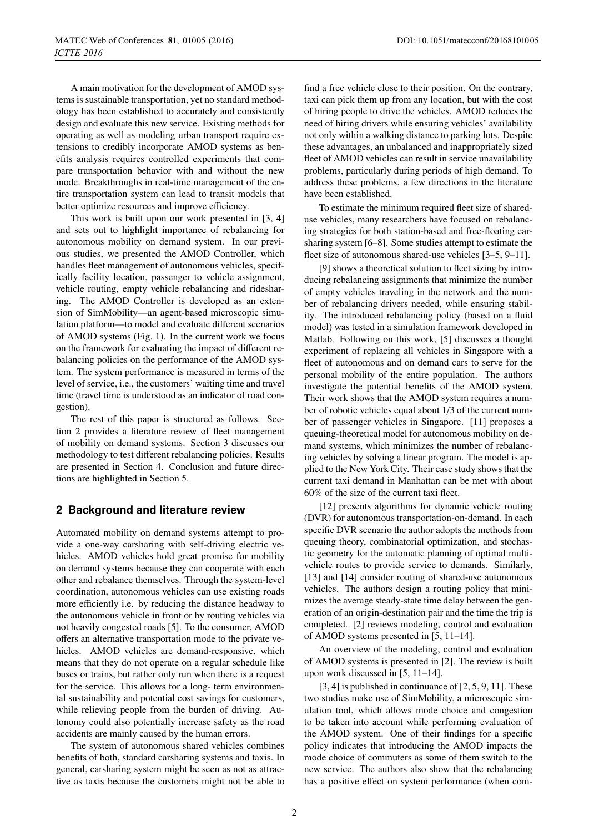A main motivation for the development of AMOD systems is sustainable transportation, yet no standard methodology has been established to accurately and consistently design and evaluate this new service. Existing methods for operating as well as modeling urban transport require extensions to credibly incorporate AMOD systems as benefits analysis requires controlled experiments that compare transportation behavior with and without the new mode. Breakthroughs in real-time management of the entire transportation system can lead to transit models that better optimize resources and improve efficiency.

This work is built upon our work presented in [3, 4] and sets out to highlight importance of rebalancing for autonomous mobility on demand system. In our previous studies, we presented the AMOD Controller, which handles fleet management of autonomous vehicles, specifically facility location, passenger to vehicle assignment, vehicle routing, empty vehicle rebalancing and ridesharing. The AMOD Controller is developed as an extension of SimMobility—an agent-based microscopic simulation platform—to model and evaluate different scenarios of AMOD systems (Fig. 1). In the current work we focus on the framework for evaluating the impact of different rebalancing policies on the performance of the AMOD system. The system performance is measured in terms of the level of service, i.e., the customers' waiting time and travel time (travel time is understood as an indicator of road congestion).

The rest of this paper is structured as follows. Section 2 provides a literature review of fleet management of mobility on demand systems. Section 3 discusses our methodology to test different rebalancing policies. Results are presented in Section 4. Conclusion and future directions are highlighted in Section 5.

## **2 Background and literature review**

Automated mobility on demand systems attempt to provide a one-way carsharing with self-driving electric vehicles. AMOD vehicles hold great promise for mobility on demand systems because they can cooperate with each other and rebalance themselves. Through the system-level coordination, autonomous vehicles can use existing roads more efficiently i.e. by reducing the distance headway to the autonomous vehicle in front or by routing vehicles via not heavily congested roads [5]. To the consumer, AMOD offers an alternative transportation mode to the private vehicles. AMOD vehicles are demand-responsive, which means that they do not operate on a regular schedule like buses or trains, but rather only run when there is a request for the service. This allows for a long- term environmental sustainability and potential cost savings for customers, while relieving people from the burden of driving. Autonomy could also potentially increase safety as the road accidents are mainly caused by the human errors.

The system of autonomous shared vehicles combines benefits of both, standard carsharing systems and taxis. In general, carsharing system might be seen as not as attractive as taxis because the customers might not be able to

find a free vehicle close to their position. On the contrary, taxi can pick them up from any location, but with the cost of hiring people to drive the vehicles. AMOD reduces the need of hiring drivers while ensuring vehicles' availability not only within a walking distance to parking lots. Despite these advantages, an unbalanced and inappropriately sized fleet of AMOD vehicles can result in service unavailability problems, particularly during periods of high demand. To address these problems, a few directions in the literature have been established.

To estimate the minimum required fleet size of shareduse vehicles, many researchers have focused on rebalancing strategies for both station-based and free-floating carsharing system [6–8]. Some studies attempt to estimate the fleet size of autonomous shared-use vehicles [3–5, 9–11].

[9] shows a theoretical solution to fleet sizing by introducing rebalancing assignments that minimize the number of empty vehicles traveling in the network and the number of rebalancing drivers needed, while ensuring stability. The introduced rebalancing policy (based on a fluid model) was tested in a simulation framework developed in Matlab. Following on this work, [5] discusses a thought experiment of replacing all vehicles in Singapore with a fleet of autonomous and on demand cars to serve for the personal mobility of the entire population. The authors investigate the potential benefits of the AMOD system. Their work shows that the AMOD system requires a number of robotic vehicles equal about 1/3 of the current number of passenger vehicles in Singapore. [11] proposes a queuing-theoretical model for autonomous mobility on demand systems, which minimizes the number of rebalancing vehicles by solving a linear program. The model is applied to the New York City. Their case study shows that the current taxi demand in Manhattan can be met with about 60% of the size of the current taxi fleet.

[12] presents algorithms for dynamic vehicle routing (DVR) for autonomous transportation-on-demand. In each specific DVR scenario the author adopts the methods from queuing theory, combinatorial optimization, and stochastic geometry for the automatic planning of optimal multivehicle routes to provide service to demands. Similarly, [13] and [14] consider routing of shared-use autonomous vehicles. The authors design a routing policy that minimizes the average steady-state time delay between the generation of an origin-destination pair and the time the trip is completed. [2] reviews modeling, control and evaluation of AMOD systems presented in [5, 11–14].

An overview of the modeling, control and evaluation of AMOD systems is presented in [2]. The review is built upon work discussed in [5, 11–14].

 $[3, 4]$  is published in continuance of  $[2, 5, 9, 11]$ . These two studies make use of SimMobility, a microscopic simulation tool, which allows mode choice and congestion to be taken into account while performing evaluation of the AMOD system. One of their findings for a specific policy indicates that introducing the AMOD impacts the mode choice of commuters as some of them switch to the new service. The authors also show that the rebalancing has a positive effect on system performance (when com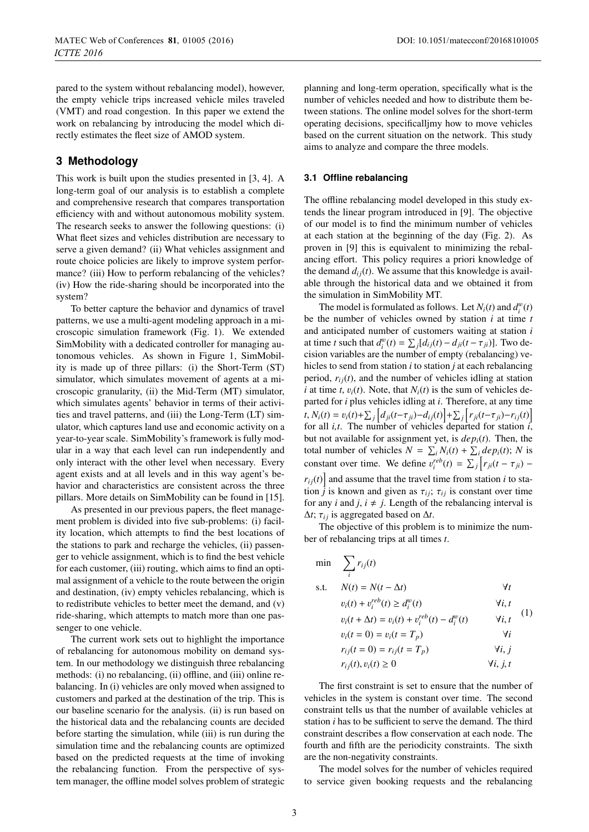pared to the system without rebalancing model), however, the empty vehicle trips increased vehicle miles traveled (VMT) and road congestion. In this paper we extend the work on rebalancing by introducing the model which directly estimates the fleet size of AMOD system.

## **3 Methodology**

This work is built upon the studies presented in [3, 4]. A long-term goal of our analysis is to establish a complete and comprehensive research that compares transportation efficiency with and without autonomous mobility system. The research seeks to answer the following questions: (i) What fleet sizes and vehicles distribution are necessary to serve a given demand? (ii) What vehicles assignment and route choice policies are likely to improve system performance? (iii) How to perform rebalancing of the vehicles? (iv) How the ride-sharing should be incorporated into the system?

To better capture the behavior and dynamics of travel patterns, we use a multi-agent modeling approach in a microscopic simulation framework (Fig. 1). We extended SimMobility with a dedicated controller for managing autonomous vehicles. As shown in Figure 1, SimMobility is made up of three pillars: (i) the Short-Term (ST) simulator, which simulates movement of agents at a microscopic granularity, (ii) the Mid-Term (MT) simulator, which simulates agents' behavior in terms of their activities and travel patterns, and (iii) the Long-Term (LT) simulator, which captures land use and economic activity on a year-to-year scale. SimMobility's framework is fully modular in a way that each level can run independently and only interact with the other level when necessary. Every agent exists and at all levels and in this way agent's behavior and characteristics are consistent across the three pillars. More details on SimMobility can be found in [15].

As presented in our previous papers, the fleet management problem is divided into five sub-problems: (i) facility location, which attempts to find the best locations of the stations to park and recharge the vehicles, (ii) passenger to vehicle assignment, which is to find the best vehicle for each customer, (iii) routing, which aims to find an optimal assignment of a vehicle to the route between the origin and destination, (iv) empty vehicles rebalancing, which is to redistribute vehicles to better meet the demand, and (v) ride-sharing, which attempts to match more than one passenger to one vehicle.

The current work sets out to highlight the importance of rebalancing for autonomous mobility on demand system. In our methodology we distinguish three rebalancing methods: (i) no rebalancing, (ii) offline, and (iii) online rebalancing. In (i) vehicles are only moved when assigned to customers and parked at the destination of the trip. This is our baseline scenario for the analysis. (ii) is run based on the historical data and the rebalancing counts are decided before starting the simulation, while (iii) is run during the simulation time and the rebalancing counts are optimized based on the predicted requests at the time of invoking the rebalancing function. From the perspective of system manager, the offline model solves problem of strategic planning and long-term operation, specifically what is the number of vehicles needed and how to distribute them between stations. The online model solves for the short-term operating decisions, specificalljmy how to move vehicles based on the current situation on the network. This study aims to analyze and compare the three models.

#### **3.1 Offline rebalancing**

The offline rebalancing model developed in this study extends the linear program introduced in [9]. The objective of our model is to find the minimum number of vehicles at each station at the beginning of the day (Fig. 2). As proven in [9] this is equivalent to minimizing the rebalancing effort. This policy requires a priori knowledge of the demand  $d_{ij}(t)$ . We assume that this knowledge is available through the historical data and we obtained it from the simulation in SimMobility MT.

The model is formulated as follows. Let  $N_i(t)$  and  $d_i^w(t)$ be the number of vehicles owned by station *i* at time *t* and anticipated number of customers waiting at station *i* at time *t* such that  $d_i^w(t) = \sum_j [d_{ij}(t) - d_{ji}(t - \tau_{ji})]$ . Two decision variables are the number of empty (rebalancing) vehicles to send from station *i* to station *j* at each rebalancing period,  $r_{ij}(t)$ , and the number of vehicles idling at station *i* at time *t*,  $v_i(t)$ . Note, that  $N_i(t)$  is the sum of vehicles departed for *i* plus vehicles idling at *i*. Therefore, at any time  $t, N_i(t) = v_i(t) + \sum_j \left[ d_{ji}(t-\tau_{ji}) - d_{ij}(t) \right] + \sum_j \left[ r_{ji}(t-\tau_{ji}) - r_{ij}(t) \right]$ for all *i,t*. The number of vehicles departed for station *i*, but not available for assignment yet, is *depi*(*t*). Then, the total number of vehicles  $N = \sum_i N_i(t) + \sum_i dep_i(t)$ ; *N* is constant over time. We define  $v_i^{reb}(t) = \sum_j [r_{ji}(t - \tau_{ji})$  $r_{ij}(t)$  and assume that the travel time from station *i* to station  $\hat{j}$  is known and given as  $\tau_{ij}$ ;  $\tau_{ij}$  is constant over time for any *i* and *j*,  $i \neq j$ . Length of the rebalancing interval is  $\Delta t$ ;  $\tau_{ij}$  is aggregated based on  $\Delta t$ .

The objective of this problem is to minimize the number of rebalancing trips at all times *t*.

$$
\begin{aligned}\n\min \quad & \sum_{i} r_{ij}(t) \\
\text{s.t.} \quad & N(t) = N(t - \Delta t) \quad \forall t \\
& v_i(t) + v_i^{reb}(t) \ge d_i^w(t) \quad \forall i, t \\
& v_i(t + \Delta t) = v_i(t) + v_i^{reb}(t) - d_i^w(t) \quad \forall i, t \\
& v_i(t = 0) = v_i(t = T_p) \quad \forall i \\
& r_{ij}(t = 0) = r_{ij}(t = T_p) \quad \forall i, j \\
& \text{(a) } (0, t) = 0 \quad \forall i, j\n\end{aligned}
$$

*r*<sub>*i*</sub><sub>*j*</sub>(*t*), *v*<sub>*i*</sub>(*t*) ≥ 0  $\forall i, j, t$ The first constraint is set to ensure that the number of vehicles in the system is constant over time. The second

constraint tells us that the number of available vehicles at station *i* has to be sufficient to serve the demand. The third constraint describes a flow conservation at each node. The fourth and fifth are the periodicity constraints. The sixth are the non-negativity constraints.

The model solves for the number of vehicles required to service given booking requests and the rebalancing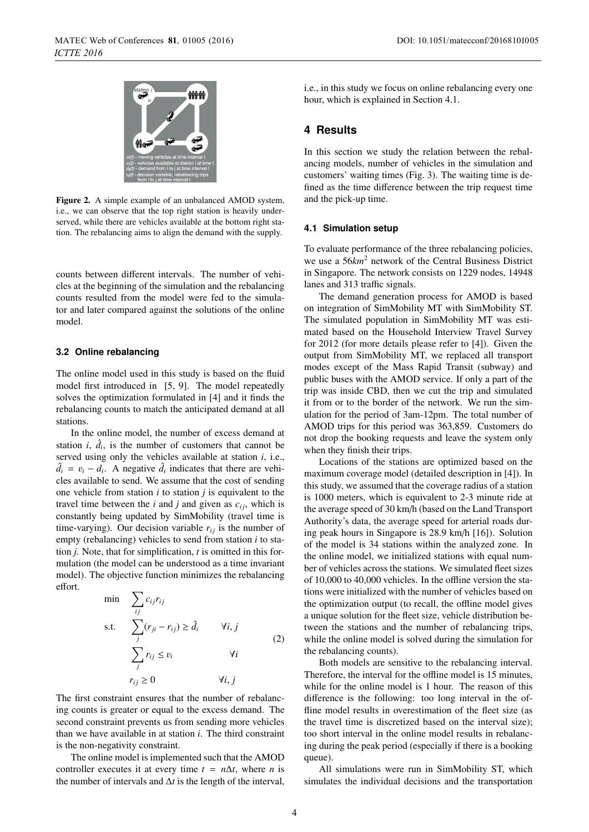

Figure 2. A simple example of an unbalanced AMOD system, i.e., we can observe that the top right station is heavily underserved, while there are vehicles available at the bottom right station. The rebalancing aims to align the demand with the supply.

counts between different intervals. The number of vehicles at the beginning of the simulation and the rebalancing counts resulted from the model were fed to the simulator and later compared against the solutions of the online model.

#### **3.2 Online rebalancing**

The online model used in this study is based on the fluid model first introduced in [5, 9]. The model repeatedly solves the optimization formulated in [4] and it finds the rebalancing counts to match the anticipated demand at all stations.

In the online model, the number of excess demand at station  $i$ ,  $\hat{d}_i$ , is the number of customers that cannot be served using only the vehicles available at station *i*, i.e.,  $\hat{d}_i = v_i - d_i$ . A negative  $\hat{d}_i$  indicates that there are vehicles available to send. We assume that the cost of sending one vehicle from station *i* to station *j* is equivalent to the travel time between the  $i$  and  $j$  and given as  $c_{ij}$ , which is constantly being updated by SimMobility (travel time is time-varying). Our decision variable  $r_{ij}$  is the number of empty (rebalancing) vehicles to send from station *i* to station *j*. Note, that for simplification, *t* is omitted in this formulation (the model can be understood as a time invariant model). The objective function minimizes the rebalancing effort.

$$
\min \sum_{ij} c_{ij} r_{ij}
$$
\n
$$
\text{s.t.} \quad \sum_{j} (r_{ji} - r_{ij}) \geq \hat{d}_i \qquad \forall i, j
$$
\n
$$
\sum_{j} r_{ij} \leq v_i \qquad \forall i
$$
\n
$$
r_{ij} \geq 0 \qquad \forall i, j
$$
\n
$$
(2)
$$

The first constraint ensures that the number of rebalancing counts is greater or equal to the excess demand. The second constraint prevents us from sending more vehicles than we have available in at station *i*. The third constraint is the non-negativity constraint.

The online model is implemented such that the AMOD controller executes it at every time  $t = n\Delta t$ , where *n* is the number of intervals and  $\Delta t$  is the length of the interval, i.e., in this study we focus on online rebalancing every one hour, which is explained in Section 4.1.

## **4 Results**

In this section we study the relation between the rebalancing models, number of vehicles in the simulation and customers' waiting times (Fig. 3). The waiting time is defined as the time difference between the trip request time and the pick-up time.

#### **4.1 Simulation setup**

To evaluate performance of the three rebalancing policies, we use a 56*km*<sup>2</sup> network of the Central Business District in Singapore. The network consists on 1229 nodes, 14948 lanes and 313 traffic signals.

The demand generation process for AMOD is based on integration of SimMobility MT with SimMobility ST. The simulated population in SimMobility MT was estimated based on the Household Interview Travel Survey for 2012 (for more details please refer to [4]). Given the output from SimMobility MT, we replaced all transport modes except of the Mass Rapid Transit (subway) and public buses with the AMOD service. If only a part of the trip was inside CBD, then we cut the trip and simulated it from or to the border of the network. We run the simulation for the period of 3am-12pm. The total number of AMOD trips for this period was 363,859. Customers do not drop the booking requests and leave the system only when they finish their trips.

Locations of the stations are optimized based on the maximum coverage model (detailed description in [4]). In this study, we assumed that the coverage radius of a station is 1000 meters, which is equivalent to 2-3 minute ride at the average speed of 30 km/h (based on the Land Transport Authority's data, the average speed for arterial roads during peak hours in Singapore is 28.9 km/h [16]). Solution of the model is 34 stations within the analyzed zone. In the online model, we initialized stations with equal number of vehicles across the stations. We simulated fleet sizes of 10,000 to 40,000 vehicles. In the offline version the stations were initialized with the number of vehicles based on the optimization output (to recall, the offline model gives a unique solution for the fleet size, vehicle distribution between the stations and the number of rebalancing trips, while the online model is solved during the simulation for the rebalancing counts).

Both models are sensitive to the rebalancing interval. Therefore, the interval for the offline model is 15 minutes, while for the online model is 1 hour. The reason of this difference is the following: too long interval in the offline model results in overestimation of the fleet size (as the travel time is discretized based on the interval size); too short interval in the online model results in rebalancing during the peak period (especially if there is a booking queue).

All simulations were run in SimMobility ST, which simulates the individual decisions and the transportation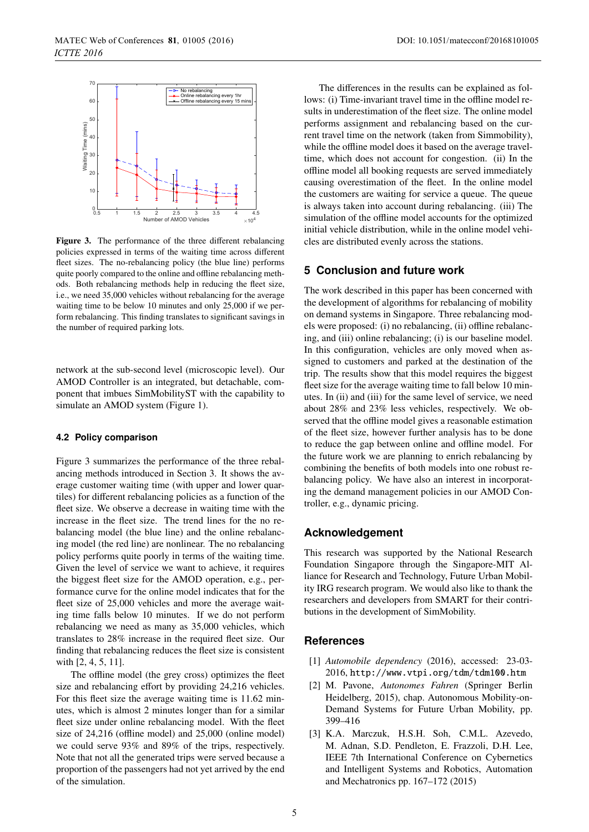

Figure 3. The performance of the three different rebalancing policies expressed in terms of the waiting time across different fleet sizes. The no-rebalancing policy (the blue line) performs quite poorly compared to the online and offline rebalancing methods. Both rebalancing methods help in reducing the fleet size, i.e., we need 35,000 vehicles without rebalancing for the average waiting time to be below 10 minutes and only 25,000 if we perform rebalancing. This finding translates to significant savings in the number of required parking lots.

network at the sub-second level (microscopic level). Our AMOD Controller is an integrated, but detachable, component that imbues SimMobilityST with the capability to simulate an AMOD system (Figure 1).

#### **4.2 Policy comparison**

Figure 3 summarizes the performance of the three rebalancing methods introduced in Section 3. It shows the average customer waiting time (with upper and lower quartiles) for different rebalancing policies as a function of the fleet size. We observe a decrease in waiting time with the increase in the fleet size. The trend lines for the no rebalancing model (the blue line) and the online rebalancing model (the red line) are nonlinear. The no rebalancing policy performs quite poorly in terms of the waiting time. Given the level of service we want to achieve, it requires the biggest fleet size for the AMOD operation, e.g., performance curve for the online model indicates that for the fleet size of 25,000 vehicles and more the average waiting time falls below 10 minutes. If we do not perform rebalancing we need as many as 35,000 vehicles, which translates to 28% increase in the required fleet size. Our finding that rebalancing reduces the fleet size is consistent with [2, 4, 5, 11].

The offline model (the grey cross) optimizes the fleet size and rebalancing effort by providing 24,216 vehicles. For this fleet size the average waiting time is 11.62 minutes, which is almost 2 minutes longer than for a similar fleet size under online rebalancing model. With the fleet size of 24,216 (offline model) and 25,000 (online model) we could serve 93% and 89% of the trips, respectively. Note that not all the generated trips were served because a proportion of the passengers had not yet arrived by the end of the simulation.

The differences in the results can be explained as follows: (i) Time-invariant travel time in the offline model results in underestimation of the fleet size. The online model performs assignment and rebalancing based on the current travel time on the network (taken from Simmobility), while the offline model does it based on the average traveltime, which does not account for congestion. (ii) In the offline model all booking requests are served immediately causing overestimation of the fleet. In the online model the customers are waiting for service a queue. The queue is always taken into account during rebalancing. (iii) The simulation of the offline model accounts for the optimized initial vehicle distribution, while in the online model vehicles are distributed evenly across the stations.

## **5 Conclusion and future work**

The work described in this paper has been concerned with the development of algorithms for rebalancing of mobility on demand systems in Singapore. Three rebalancing models were proposed: (i) no rebalancing, (ii) offline rebalancing, and (iii) online rebalancing; (i) is our baseline model. In this configuration, vehicles are only moved when assigned to customers and parked at the destination of the trip. The results show that this model requires the biggest fleet size for the average waiting time to fall below 10 minutes. In (ii) and (iii) for the same level of service, we need about 28% and 23% less vehicles, respectively. We observed that the offline model gives a reasonable estimation of the fleet size, however further analysis has to be done to reduce the gap between online and offline model. For the future work we are planning to enrich rebalancing by combining the benefits of both models into one robust rebalancing policy. We have also an interest in incorporating the demand management policies in our AMOD Controller, e.g., dynamic pricing.

### **Acknowledgement**

This research was supported by the National Research Foundation Singapore through the Singapore-MIT Alliance for Research and Technology, Future Urban Mobility IRG research program. We would also like to thank the researchers and developers from SMART for their contributions in the development of SimMobility.

#### **References**

- [1] *Automobile dependency* (2016), accessed: 23-03- 2016, http://www.vtpi.org/tdm/tdm100.htm
- [2] M. Pavone, *Autonomes Fahren* (Springer Berlin Heidelberg, 2015), chap. Autonomous Mobility-on-Demand Systems for Future Urban Mobility, pp. 399–416
- [3] K.A. Marczuk, H.S.H. Soh, C.M.L. Azevedo, M. Adnan, S.D. Pendleton, E. Frazzoli, D.H. Lee, IEEE 7th International Conference on Cybernetics and Intelligent Systems and Robotics, Automation and Mechatronics pp. 167–172 (2015)